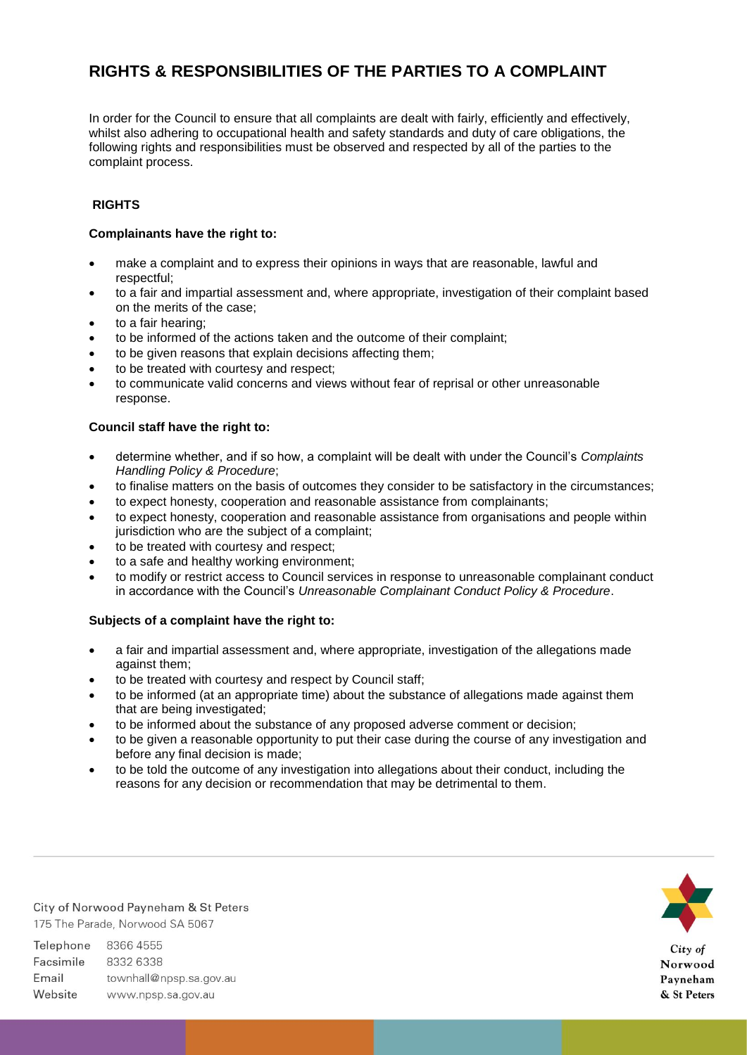# **RIGHTS & RESPONSIBILITIES OF THE PARTIES TO A COMPLAINT**

In order for the Council to ensure that all complaints are dealt with fairly, efficiently and effectively, whilst also adhering to occupational health and safety standards and duty of care obligations, the following rights and responsibilities must be observed and respected by all of the parties to the complaint process.

## **RIGHTS**

## **Complainants have the right to:**

- make a complaint and to express their opinions in ways that are reasonable, lawful and respectful;
- to a fair and impartial assessment and, where appropriate, investigation of their complaint based on the merits of the case;
- to a fair hearing;
- to be informed of the actions taken and the outcome of their complaint;
- to be given reasons that explain decisions affecting them;
- to be treated with courtesy and respect;
- to communicate valid concerns and views without fear of reprisal or other unreasonable response.

### **Council staff have the right to:**

- determine whether, and if so how, a complaint will be dealt with under the Council's *Complaints Handling Policy & Procedure*;
- to finalise matters on the basis of outcomes they consider to be satisfactory in the circumstances;
- to expect honesty, cooperation and reasonable assistance from complainants;
- to expect honesty, cooperation and reasonable assistance from organisations and people within jurisdiction who are the subject of a complaint;
- to be treated with courtesy and respect:
- to a safe and healthy working environment;
- to modify or restrict access to Council services in response to unreasonable complainant conduct in accordance with the Council's *Unreasonable Complainant Conduct Policy & Procedure*.

#### **Subjects of a complaint have the right to:**

- a fair and impartial assessment and, where appropriate, investigation of the allegations made against them;
- to be treated with courtesy and respect by Council staff;
- to be informed (at an appropriate time) about the substance of allegations made against them that are being investigated;
- to be informed about the substance of any proposed adverse comment or decision;
- to be given a reasonable opportunity to put their case during the course of any investigation and before any final decision is made;
- to be told the outcome of any investigation into allegations about their conduct, including the reasons for any decision or recommendation that may be detrimental to them.

City of Norwood Payneham & St Peters 175 The Parade, Norwood SA 5067

Telephone 8366 4555 Facsimile 8332 6338 Email townhall@npsp.sa.gov.au Website www.npsp.sa.gov.au



Norwood Payneham & St Peters